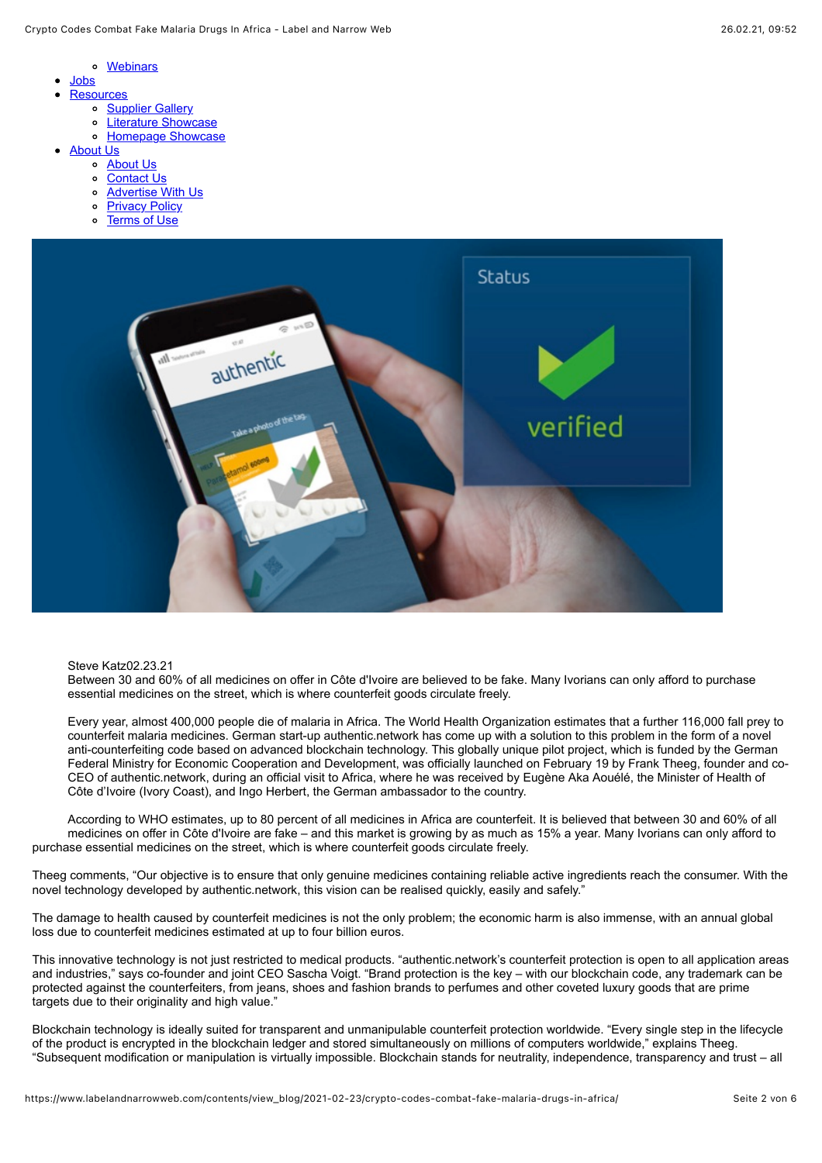- [Webinars](https://www.labelandnarrowweb.com/contents/list_webinars/)
- [Jobs](https://www.labelandnarrowweb.com/contents/list_jobs/)
	- **[Resources](https://www.labelandnarrowweb.com/resources/)** 
		- o [Supplier Gallery](https://labelandnarrowweb.texterity.com/labelandnarrowweb/march_2018/MobilePagedReplica.action?pm=2&folio=72#pg74)
		- [Literature Showcase](https://labelandnarrowweb.texterity.com/labelandnarrowweb/november_december_2017/MobilePagedReplica.action?pm=2&folio=106#pg108)
		- o [Homepage Showcase](https://labelandnarrowweb.texterity.com/labelandnarrowweb/october_2017/MobilePagedReplica.action?pm=2&folio=84#pg84)
- [About Us](https://www.labelandnarrowweb.com/about-us/)
	- [About Us](https://www.labelandnarrowweb.com/about-us/)
	- [Contact Us](https://www.labelandnarrowweb.com/contact-us/)
	- [Advertise With Us](https://www.labelandnarrowweb.com/advertise-with-us/)
	- o [Privacy Policy](https://www.labelandnarrowweb.com/privacy-policy/)
	- o [Terms of Use](https://www.labelandnarrowweb.com/terms-of-use/)



Steve Katz02.23.21

Between 30 and 60% of all medicines on offer in Côte d'Ivoire are believed to be fake. Many Ivorians can only afford to purchase essential medicines on the street, which is where counterfeit goods circulate freely.

Every year, almost 400,000 people die of malaria in Africa. The World Health Organization estimates that a further 116,000 fall prey to counterfeit malaria medicines. German start-up authentic.network has come up with a solution to this problem in the form of a novel anti-counterfeiting code based on advanced blockchain technology. This globally unique pilot project, which is funded by the German Federal Ministry for Economic Cooperation and Development, was officially launched on February 19 by Frank Theeg, founder and co-CEO of authentic.network, during an official visit to Africa, where he was received by Eugène Aka Aouélé, the Minister of Health of Côte d'Ivoire (Ivory Coast), and Ingo Herbert, the German ambassador to the country.

According to WHO estimates, up to 80 percent of all medicines in Africa are counterfeit. It is believed that between 30 and 60% of all medicines on offer in Côte d'Ivoire are fake – and this market is growing by as much as 15% a year. Many Ivorians can only afford to purchase essential medicines on the street, which is where counterfeit goods circulate freely.

Theeg comments, "Our objective is to ensure that only genuine medicines containing reliable active ingredients reach the consumer. With the novel technology developed by authentic.network, this vision can be realised quickly, easily and safely."

The damage to health caused by counterfeit medicines is not the only problem; the economic harm is also immense, with an annual global loss due to counterfeit medicines estimated at up to four billion euros.

This innovative technology is not just restricted to medical products. "authentic.network's counterfeit protection is open to all application areas and industries," says co-founder and joint CEO Sascha Voigt. "Brand protection is the key – with our blockchain code, any trademark can be protected against the counterfeiters, from jeans, shoes and fashion brands to perfumes and other coveted luxury goods that are prime targets due to their originality and high value."

Blockchain technology is ideally suited for transparent and unmanipulable counterfeit protection worldwide. "Every single step in the lifecycle of the product is encrypted in the blockchain ledger and stored simultaneously on millions of computers worldwide," explains Theeg. "Subsequent modification or manipulation is virtually impossible. Blockchain stands for neutrality, independence, transparency and trust – all